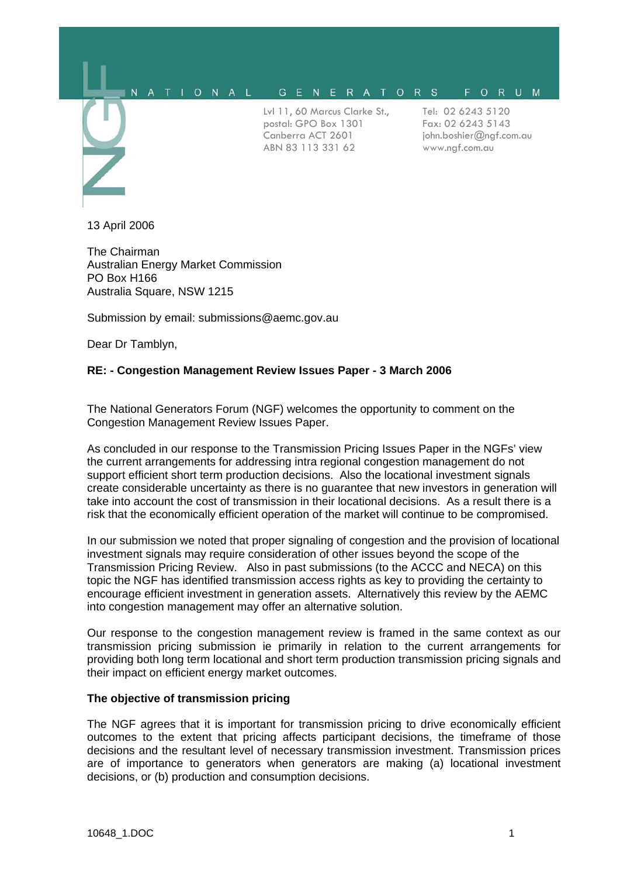#### A T I O N A L GENERATORS FORUM  $\mathbf{M}$

Lvl 11, 60 Marcus Clarke St., postal: GPO Box 1301 Canberra ACT 2601 ABN 83 113 331 62

Tel: 02 6243 5120 Fax: 02 6243 5143 john.boshier@ngf.com.au www.ngf.com.au

13 April 2006

The Chairman Australian Energy Market Commission PO Box H166 Australia Square, NSW 1215

Submission by email: submissions@aemc.gov.au

Dear Dr Tamblyn,

# **RE: - Congestion Management Review Issues Paper - 3 March 2006**

The National Generators Forum (NGF) welcomes the opportunity to comment on the Congestion Management Review Issues Paper.

As concluded in our response to the Transmission Pricing Issues Paper in the NGFs' view the current arrangements for addressing intra regional congestion management do not support efficient short term production decisions. Also the locational investment signals create considerable uncertainty as there is no guarantee that new investors in generation will take into account the cost of transmission in their locational decisions. As a result there is a risk that the economically efficient operation of the market will continue to be compromised.

In our submission we noted that proper signaling of congestion and the provision of locational investment signals may require consideration of other issues beyond the scope of the Transmission Pricing Review. Also in past submissions (to the ACCC and NECA) on this topic the NGF has identified transmission access rights as key to providing the certainty to encourage efficient investment in generation assets. Alternatively this review by the AEMC into congestion management may offer an alternative solution.

Our response to the congestion management review is framed in the same context as our transmission pricing submission ie primarily in relation to the current arrangements for providing both long term locational and short term production transmission pricing signals and their impact on efficient energy market outcomes.

# **The objective of transmission pricing**

The NGF agrees that it is important for transmission pricing to drive economically efficient outcomes to the extent that pricing affects participant decisions, the timeframe of those decisions and the resultant level of necessary transmission investment. Transmission prices are of importance to generators when generators are making (a) locational investment decisions, or (b) production and consumption decisions.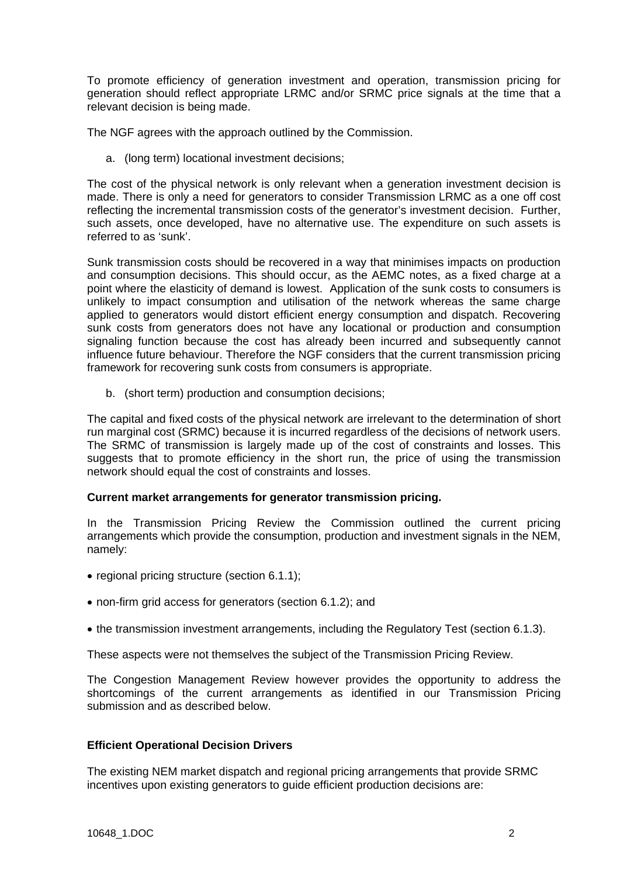To promote efficiency of generation investment and operation, transmission pricing for generation should reflect appropriate LRMC and/or SRMC price signals at the time that a relevant decision is being made.

The NGF agrees with the approach outlined by the Commission.

a. (long term) locational investment decisions;

The cost of the physical network is only relevant when a generation investment decision is made. There is only a need for generators to consider Transmission LRMC as a one off cost reflecting the incremental transmission costs of the generator's investment decision. Further, such assets, once developed, have no alternative use. The expenditure on such assets is referred to as 'sunk'.

Sunk transmission costs should be recovered in a way that minimises impacts on production and consumption decisions. This should occur, as the AEMC notes, as a fixed charge at a point where the elasticity of demand is lowest. Application of the sunk costs to consumers is unlikely to impact consumption and utilisation of the network whereas the same charge applied to generators would distort efficient energy consumption and dispatch. Recovering sunk costs from generators does not have any locational or production and consumption signaling function because the cost has already been incurred and subsequently cannot influence future behaviour. Therefore the NGF considers that the current transmission pricing framework for recovering sunk costs from consumers is appropriate.

b. (short term) production and consumption decisions;

The capital and fixed costs of the physical network are irrelevant to the determination of short run marginal cost (SRMC) because it is incurred regardless of the decisions of network users. The SRMC of transmission is largely made up of the cost of constraints and losses. This suggests that to promote efficiency in the short run, the price of using the transmission network should equal the cost of constraints and losses.

#### **Current market arrangements for generator transmission pricing.**

In the Transmission Pricing Review the Commission outlined the current pricing arrangements which provide the consumption, production and investment signals in the NEM, namely:

- regional pricing structure (section 6.1.1);
- non-firm grid access for generators (section 6.1.2); and
- the transmission investment arrangements, including the Regulatory Test (section 6.1.3).

These aspects were not themselves the subject of the Transmission Pricing Review.

The Congestion Management Review however provides the opportunity to address the shortcomings of the current arrangements as identified in our Transmission Pricing submission and as described below.

# **Efficient Operational Decision Drivers**

The existing NEM market dispatch and regional pricing arrangements that provide SRMC incentives upon existing generators to guide efficient production decisions are: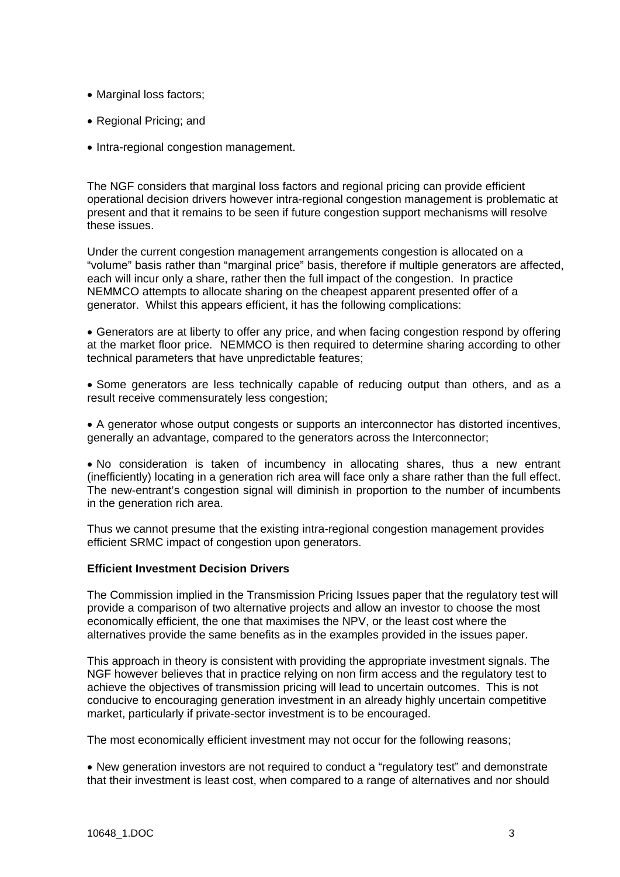- Marginal loss factors;
- Regional Pricing; and
- Intra-regional congestion management.

The NGF considers that marginal loss factors and regional pricing can provide efficient operational decision drivers however intra-regional congestion management is problematic at present and that it remains to be seen if future congestion support mechanisms will resolve these issues.

Under the current congestion management arrangements congestion is allocated on a "volume" basis rather than "marginal price" basis, therefore if multiple generators are affected, each will incur only a share, rather then the full impact of the congestion. In practice NEMMCO attempts to allocate sharing on the cheapest apparent presented offer of a generator. Whilst this appears efficient, it has the following complications:

• Generators are at liberty to offer any price, and when facing congestion respond by offering at the market floor price. NEMMCO is then required to determine sharing according to other technical parameters that have unpredictable features;

• Some generators are less technically capable of reducing output than others, and as a result receive commensurately less congestion;

• A generator whose output congests or supports an interconnector has distorted incentives, generally an advantage, compared to the generators across the Interconnector;

• No consideration is taken of incumbency in allocating shares, thus a new entrant (inefficiently) locating in a generation rich area will face only a share rather than the full effect. The new-entrant's congestion signal will diminish in proportion to the number of incumbents in the generation rich area.

Thus we cannot presume that the existing intra-regional congestion management provides efficient SRMC impact of congestion upon generators.

# **Efficient Investment Decision Drivers**

The Commission implied in the Transmission Pricing Issues paper that the regulatory test will provide a comparison of two alternative projects and allow an investor to choose the most economically efficient, the one that maximises the NPV, or the least cost where the alternatives provide the same benefits as in the examples provided in the issues paper.

This approach in theory is consistent with providing the appropriate investment signals. The NGF however believes that in practice relying on non firm access and the regulatory test to achieve the objectives of transmission pricing will lead to uncertain outcomes. This is not conducive to encouraging generation investment in an already highly uncertain competitive market, particularly if private-sector investment is to be encouraged.

The most economically efficient investment may not occur for the following reasons;

• New generation investors are not required to conduct a "regulatory test" and demonstrate that their investment is least cost, when compared to a range of alternatives and nor should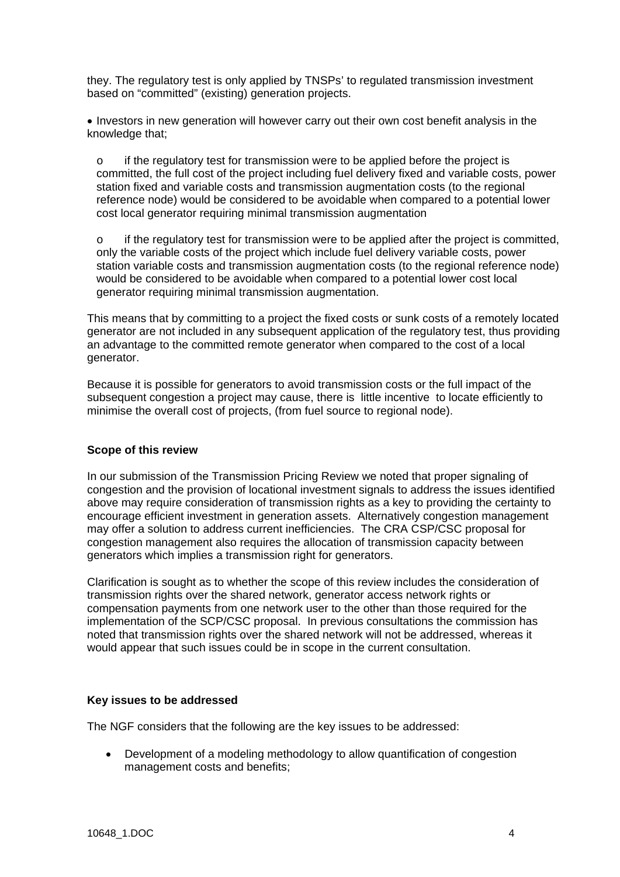they. The regulatory test is only applied by TNSPs' to regulated transmission investment based on "committed" (existing) generation projects.

• Investors in new generation will however carry out their own cost benefit analysis in the knowledge that;

 $\circ$  if the regulatory test for transmission were to be applied before the project is committed, the full cost of the project including fuel delivery fixed and variable costs, power station fixed and variable costs and transmission augmentation costs (to the regional reference node) would be considered to be avoidable when compared to a potential lower cost local generator requiring minimal transmission augmentation

 $\circ$  if the regulatory test for transmission were to be applied after the project is committed, only the variable costs of the project which include fuel delivery variable costs, power station variable costs and transmission augmentation costs (to the regional reference node) would be considered to be avoidable when compared to a potential lower cost local generator requiring minimal transmission augmentation.

This means that by committing to a project the fixed costs or sunk costs of a remotely located generator are not included in any subsequent application of the regulatory test, thus providing an advantage to the committed remote generator when compared to the cost of a local generator.

Because it is possible for generators to avoid transmission costs or the full impact of the subsequent congestion a project may cause, there is little incentive to locate efficiently to minimise the overall cost of projects, (from fuel source to regional node).

# **Scope of this review**

In our submission of the Transmission Pricing Review we noted that proper signaling of congestion and the provision of locational investment signals to address the issues identified above may require consideration of transmission rights as a key to providing the certainty to encourage efficient investment in generation assets. Alternatively congestion management may offer a solution to address current inefficiencies. The CRA CSP/CSC proposal for congestion management also requires the allocation of transmission capacity between generators which implies a transmission right for generators.

Clarification is sought as to whether the scope of this review includes the consideration of transmission rights over the shared network, generator access network rights or compensation payments from one network user to the other than those required for the implementation of the SCP/CSC proposal. In previous consultations the commission has noted that transmission rights over the shared network will not be addressed, whereas it would appear that such issues could be in scope in the current consultation.

#### **Key issues to be addressed**

The NGF considers that the following are the key issues to be addressed:

• Development of a modeling methodology to allow quantification of congestion management costs and benefits;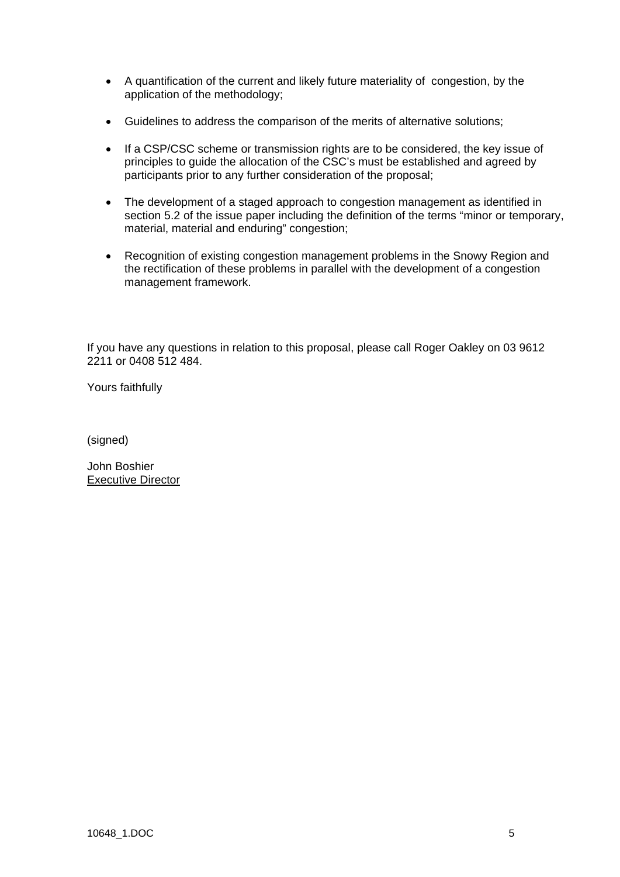- A quantification of the current and likely future materiality of congestion, by the application of the methodology;
- Guidelines to address the comparison of the merits of alternative solutions;
- If a CSP/CSC scheme or transmission rights are to be considered, the key issue of principles to guide the allocation of the CSC's must be established and agreed by participants prior to any further consideration of the proposal;
- The development of a staged approach to congestion management as identified in section 5.2 of the issue paper including the definition of the terms "minor or temporary, material, material and enduring" congestion;
- Recognition of existing congestion management problems in the Snowy Region and the rectification of these problems in parallel with the development of a congestion management framework.

If you have any questions in relation to this proposal, please call Roger Oakley on 03 9612 2211 or 0408 512 484.

Yours faithfully

(signed)

John Boshier Executive Director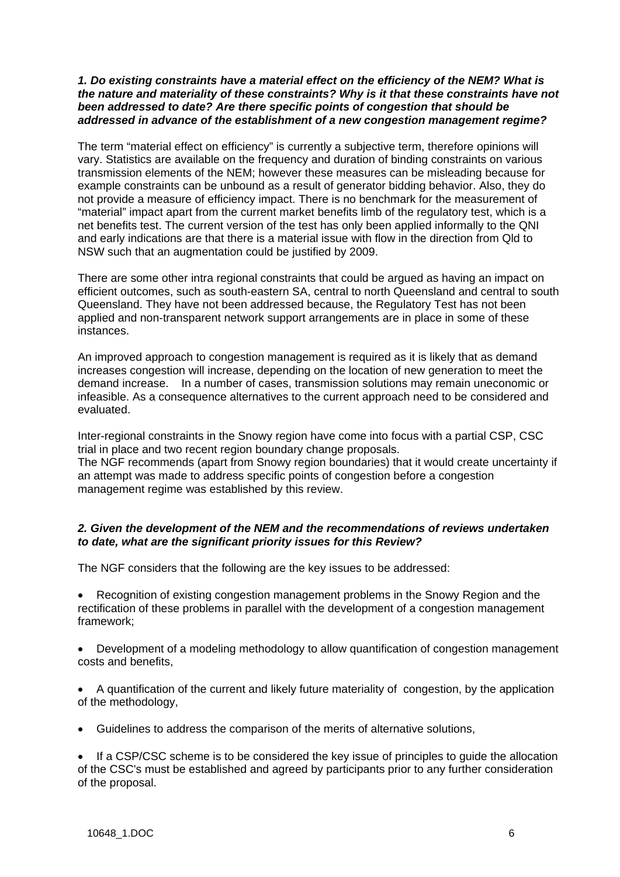## *1. Do existing constraints have a material effect on the efficiency of the NEM? What is the nature and materiality of these constraints? Why is it that these constraints have not been addressed to date? Are there specific points of congestion that should be addressed in advance of the establishment of a new congestion management regime?*

The term "material effect on efficiency" is currently a subjective term, therefore opinions will vary. Statistics are available on the frequency and duration of binding constraints on various transmission elements of the NEM; however these measures can be misleading because for example constraints can be unbound as a result of generator bidding behavior. Also, they do not provide a measure of efficiency impact. There is no benchmark for the measurement of "material" impact apart from the current market benefits limb of the regulatory test, which is a net benefits test. The current version of the test has only been applied informally to the QNI and early indications are that there is a material issue with flow in the direction from Qld to NSW such that an augmentation could be justified by 2009.

There are some other intra regional constraints that could be argued as having an impact on efficient outcomes, such as south-eastern SA, central to north Queensland and central to south Queensland. They have not been addressed because, the Regulatory Test has not been applied and non-transparent network support arrangements are in place in some of these instances.

An improved approach to congestion management is required as it is likely that as demand increases congestion will increase, depending on the location of new generation to meet the demand increase. In a number of cases, transmission solutions may remain uneconomic or infeasible. As a consequence alternatives to the current approach need to be considered and evaluated.

Inter-regional constraints in the Snowy region have come into focus with a partial CSP, CSC trial in place and two recent region boundary change proposals.

The NGF recommends (apart from Snowy region boundaries) that it would create uncertainty if an attempt was made to address specific points of congestion before a congestion management regime was established by this review.

# *2. Given the development of the NEM and the recommendations of reviews undertaken to date, what are the significant priority issues for this Review?*

The NGF considers that the following are the key issues to be addressed:

• Recognition of existing congestion management problems in the Snowy Region and the rectification of these problems in parallel with the development of a congestion management framework;

• Development of a modeling methodology to allow quantification of congestion management costs and benefits,

• A quantification of the current and likely future materiality of congestion, by the application of the methodology,

• Guidelines to address the comparison of the merits of alternative solutions,

If a CSP/CSC scheme is to be considered the key issue of principles to quide the allocation of the CSC's must be established and agreed by participants prior to any further consideration of the proposal.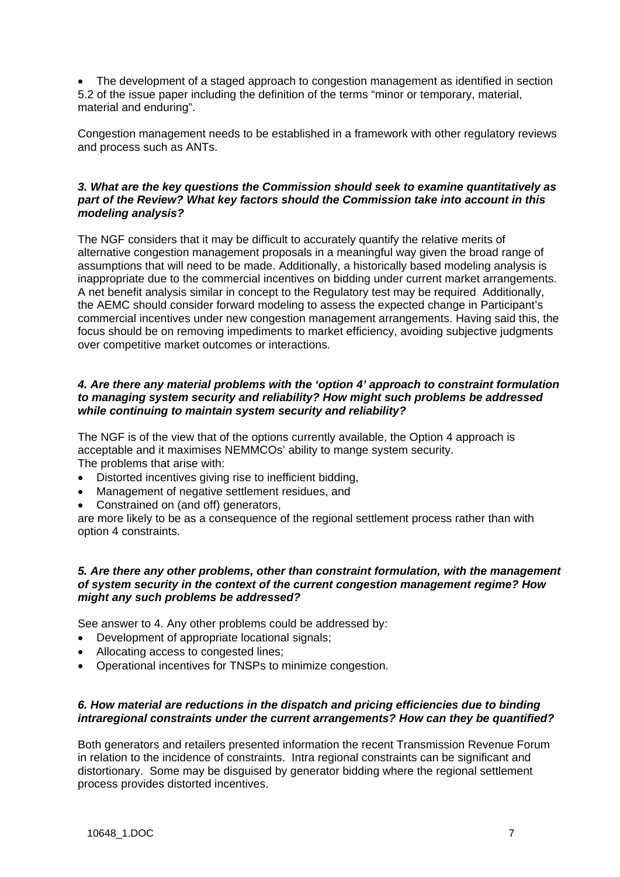• The development of a staged approach to congestion management as identified in section 5.2 of the issue paper including the definition of the terms "minor or temporary, material, material and enduring".

Congestion management needs to be established in a framework with other regulatory reviews and process such as ANTs.

# *3. What are the key questions the Commission should seek to examine quantitatively as part of the Review? What key factors should the Commission take into account in this modeling analysis?*

The NGF considers that it may be difficult to accurately quantify the relative merits of alternative congestion management proposals in a meaningful way given the broad range of assumptions that will need to be made. Additionally, a historically based modeling analysis is inappropriate due to the commercial incentives on bidding under current market arrangements. A net benefit analysis similar in concept to the Regulatory test may be required. Additionally, the AEMC should consider forward modeling to assess the expected change in Participant's commercial incentives under new congestion management arrangements. Having said this, the focus should be on removing impediments to market efficiency, avoiding subjective judgments over competitive market outcomes or interactions.

## *4. Are there any material problems with the 'option 4' approach to constraint formulation to managing system security and reliability? How might such problems be addressed while continuing to maintain system security and reliability?*

The NGF is of the view that of the options currently available, the Option 4 approach is acceptable and it maximises NEMMCOs' ability to mange system security. The problems that arise with:

- Distorted incentives giving rise to inefficient bidding,
- Management of negative settlement residues, and
- Constrained on (and off) generators,

are more likely to be as a consequence of the regional settlement process rather than with option 4 constraints.

## *5. Are there any other problems, other than constraint formulation, with the management of system security in the context of the current congestion management regime? How might any such problems be addressed?*

See answer to 4. Any other problems could be addressed by:

- Development of appropriate locational signals;
- Allocating access to congested lines;
- Operational incentives for TNSPs to minimize congestion.

# *6. How material are reductions in the dispatch and pricing efficiencies due to binding intraregional constraints under the current arrangements? How can they be quantified?*

Both generators and retailers presented information the recent Transmission Revenue Forum in relation to the incidence of constraints. Intra regional constraints can be significant and distortionary. Some may be disguised by generator bidding where the regional settlement process provides distorted incentives.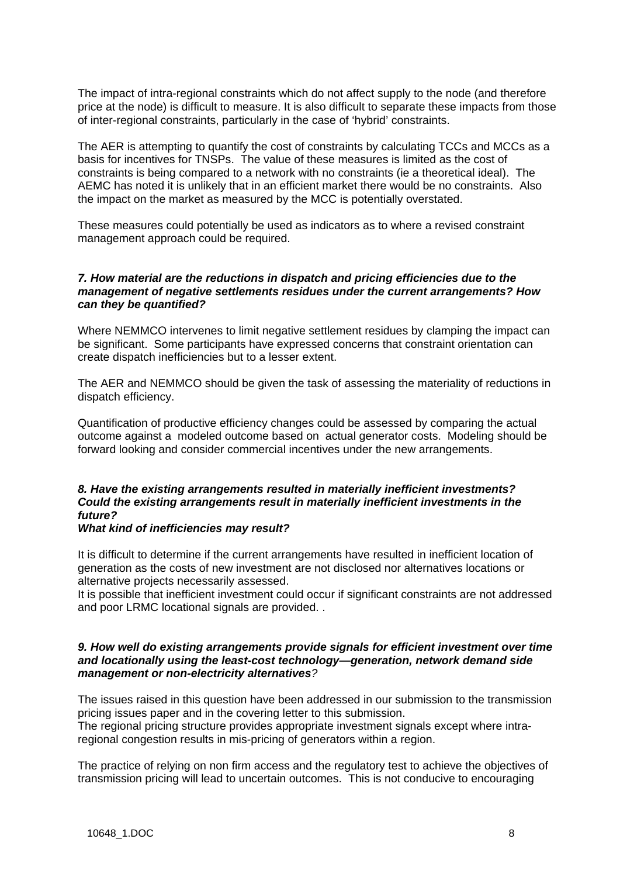The impact of intra-regional constraints which do not affect supply to the node (and therefore price at the node) is difficult to measure. It is also difficult to separate these impacts from those of inter-regional constraints, particularly in the case of 'hybrid' constraints.

The AER is attempting to quantify the cost of constraints by calculating TCCs and MCCs as a basis for incentives for TNSPs. The value of these measures is limited as the cost of constraints is being compared to a network with no constraints (ie a theoretical ideal). The AEMC has noted it is unlikely that in an efficient market there would be no constraints. Also the impact on the market as measured by the MCC is potentially overstated.

These measures could potentially be used as indicators as to where a revised constraint management approach could be required.

## *7. How material are the reductions in dispatch and pricing efficiencies due to the management of negative settlements residues under the current arrangements? How can they be quantified?*

Where NEMMCO intervenes to limit negative settlement residues by clamping the impact can be significant. Some participants have expressed concerns that constraint orientation can create dispatch inefficiencies but to a lesser extent.

The AER and NEMMCO should be given the task of assessing the materiality of reductions in dispatch efficiency.

Quantification of productive efficiency changes could be assessed by comparing the actual outcome against a modeled outcome based on actual generator costs. Modeling should be forward looking and consider commercial incentives under the new arrangements.

# *8. Have the existing arrangements resulted in materially inefficient investments? Could the existing arrangements result in materially inefficient investments in the future?*

## *What kind of inefficiencies may result?*

It is difficult to determine if the current arrangements have resulted in inefficient location of generation as the costs of new investment are not disclosed nor alternatives locations or alternative projects necessarily assessed.

It is possible that inefficient investment could occur if significant constraints are not addressed and poor LRMC locational signals are provided. .

## *9. How well do existing arrangements provide signals for efficient investment over time and locationally using the least-cost technology—generation, network demand side management or non-electricity alternatives?*

The issues raised in this question have been addressed in our submission to the transmission pricing issues paper and in the covering letter to this submission.

The regional pricing structure provides appropriate investment signals except where intraregional congestion results in mis-pricing of generators within a region.

The practice of relying on non firm access and the regulatory test to achieve the objectives of transmission pricing will lead to uncertain outcomes. This is not conducive to encouraging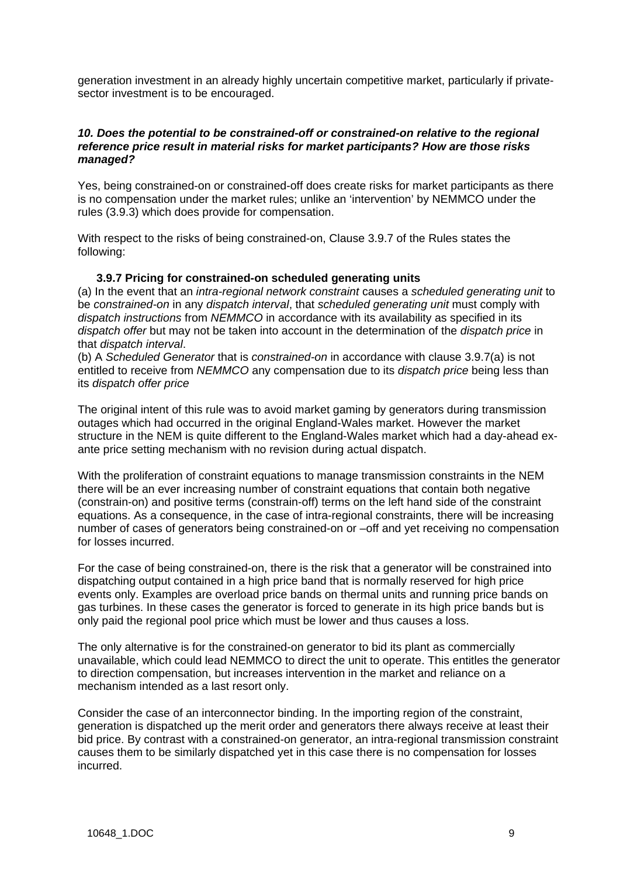generation investment in an already highly uncertain competitive market, particularly if privatesector investment is to be encouraged.

## *10. Does the potential to be constrained-off or constrained-on relative to the regional reference price result in material risks for market participants? How are those risks managed?*

Yes, being constrained-on or constrained-off does create risks for market participants as there is no compensation under the market rules; unlike an 'intervention' by NEMMCO under the rules (3.9.3) which does provide for compensation.

With respect to the risks of being constrained-on, Clause 3.9.7 of the Rules states the following:

## **3.9.7 Pricing for constrained-on scheduled generating units**

(a) In the event that an *intra-regional network constraint* causes a *scheduled generating unit* to be *constrained-on* in any *dispatch interval*, that *scheduled generating unit* must comply with *dispatch instructions* from *NEMMCO* in accordance with its availability as specified in its *dispatch offer* but may not be taken into account in the determination of the *dispatch price* in that *dispatch interval*.

(b) A *Scheduled Generator* that is *constrained-on* in accordance with clause 3.9.7(a) is not entitled to receive from *NEMMCO* any compensation due to its *dispatch price* being less than its *dispatch offer price*

The original intent of this rule was to avoid market gaming by generators during transmission outages which had occurred in the original England-Wales market. However the market structure in the NEM is quite different to the England-Wales market which had a day-ahead exante price setting mechanism with no revision during actual dispatch.

With the proliferation of constraint equations to manage transmission constraints in the NEM there will be an ever increasing number of constraint equations that contain both negative (constrain-on) and positive terms (constrain-off) terms on the left hand side of the constraint equations. As a consequence, in the case of intra-regional constraints, there will be increasing number of cases of generators being constrained-on or –off and yet receiving no compensation for losses incurred.

For the case of being constrained-on, there is the risk that a generator will be constrained into dispatching output contained in a high price band that is normally reserved for high price events only. Examples are overload price bands on thermal units and running price bands on gas turbines. In these cases the generator is forced to generate in its high price bands but is only paid the regional pool price which must be lower and thus causes a loss.

The only alternative is for the constrained-on generator to bid its plant as commercially unavailable, which could lead NEMMCO to direct the unit to operate. This entitles the generator to direction compensation, but increases intervention in the market and reliance on a mechanism intended as a last resort only.

Consider the case of an interconnector binding. In the importing region of the constraint, generation is dispatched up the merit order and generators there always receive at least their bid price. By contrast with a constrained-on generator, an intra-regional transmission constraint causes them to be similarly dispatched yet in this case there is no compensation for losses incurred.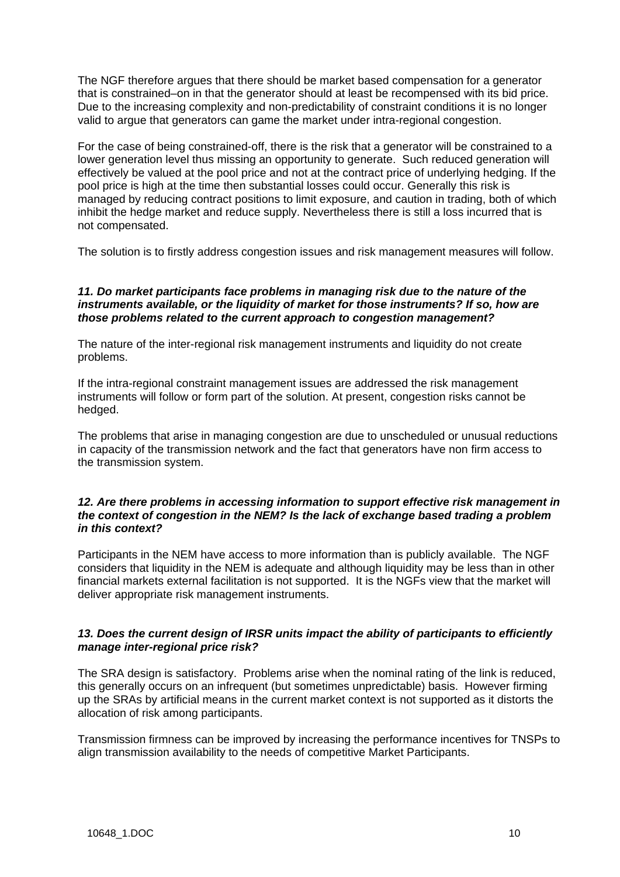The NGF therefore argues that there should be market based compensation for a generator that is constrained–on in that the generator should at least be recompensed with its bid price. Due to the increasing complexity and non-predictability of constraint conditions it is no longer valid to argue that generators can game the market under intra-regional congestion.

For the case of being constrained-off, there is the risk that a generator will be constrained to a lower generation level thus missing an opportunity to generate. Such reduced generation will effectively be valued at the pool price and not at the contract price of underlying hedging. If the pool price is high at the time then substantial losses could occur. Generally this risk is managed by reducing contract positions to limit exposure, and caution in trading, both of which inhibit the hedge market and reduce supply. Nevertheless there is still a loss incurred that is not compensated.

The solution is to firstly address congestion issues and risk management measures will follow.

# *11. Do market participants face problems in managing risk due to the nature of the instruments available, or the liquidity of market for those instruments? If so, how are those problems related to the current approach to congestion management?*

The nature of the inter-regional risk management instruments and liquidity do not create problems.

If the intra-regional constraint management issues are addressed the risk management instruments will follow or form part of the solution. At present, congestion risks cannot be hedged.

The problems that arise in managing congestion are due to unscheduled or unusual reductions in capacity of the transmission network and the fact that generators have non firm access to the transmission system.

## *12. Are there problems in accessing information to support effective risk management in the context of congestion in the NEM? Is the lack of exchange based trading a problem in this context?*

Participants in the NEM have access to more information than is publicly available. The NGF considers that liquidity in the NEM is adequate and although liquidity may be less than in other financial markets external facilitation is not supported. It is the NGFs view that the market will deliver appropriate risk management instruments.

# *13. Does the current design of IRSR units impact the ability of participants to efficiently manage inter-regional price risk?*

The SRA design is satisfactory. Problems arise when the nominal rating of the link is reduced, this generally occurs on an infrequent (but sometimes unpredictable) basis. However firming up the SRAs by artificial means in the current market context is not supported as it distorts the allocation of risk among participants.

Transmission firmness can be improved by increasing the performance incentives for TNSPs to align transmission availability to the needs of competitive Market Participants.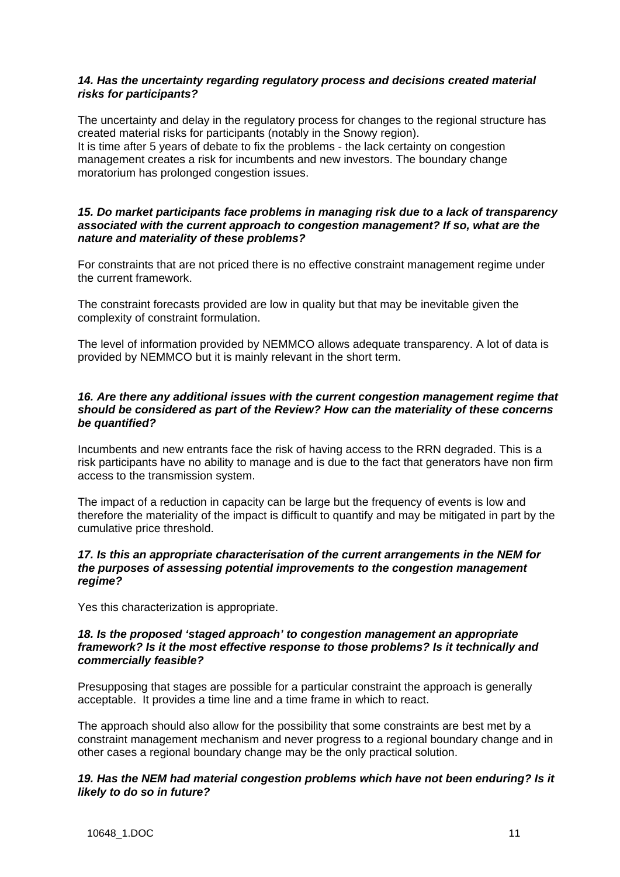# *14. Has the uncertainty regarding regulatory process and decisions created material risks for participants?*

The uncertainty and delay in the regulatory process for changes to the regional structure has created material risks for participants (notably in the Snowy region). It is time after 5 years of debate to fix the problems - the lack certainty on congestion management creates a risk for incumbents and new investors. The boundary change moratorium has prolonged congestion issues.

## *15. Do market participants face problems in managing risk due to a lack of transparency associated with the current approach to congestion management? If so, what are the nature and materiality of these problems?*

For constraints that are not priced there is no effective constraint management regime under the current framework.

The constraint forecasts provided are low in quality but that may be inevitable given the complexity of constraint formulation.

The level of information provided by NEMMCO allows adequate transparency. A lot of data is provided by NEMMCO but it is mainly relevant in the short term.

# *16. Are there any additional issues with the current congestion management regime that should be considered as part of the Review? How can the materiality of these concerns be quantified?*

Incumbents and new entrants face the risk of having access to the RRN degraded. This is a risk participants have no ability to manage and is due to the fact that generators have non firm access to the transmission system.

The impact of a reduction in capacity can be large but the frequency of events is low and therefore the materiality of the impact is difficult to quantify and may be mitigated in part by the cumulative price threshold.

## *17. Is this an appropriate characterisation of the current arrangements in the NEM for the purposes of assessing potential improvements to the congestion management regime?*

Yes this characterization is appropriate.

## *18. Is the proposed 'staged approach' to congestion management an appropriate framework? Is it the most effective response to those problems? Is it technically and commercially feasible?*

Presupposing that stages are possible for a particular constraint the approach is generally acceptable. It provides a time line and a time frame in which to react.

The approach should also allow for the possibility that some constraints are best met by a constraint management mechanism and never progress to a regional boundary change and in other cases a regional boundary change may be the only practical solution.

## *19. Has the NEM had material congestion problems which have not been enduring? Is it likely to do so in future?*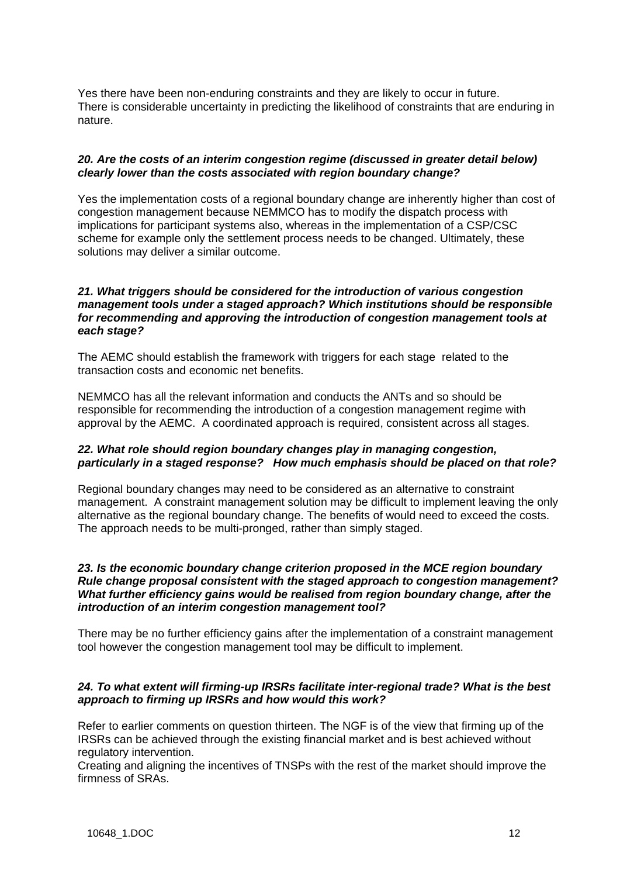Yes there have been non-enduring constraints and they are likely to occur in future. There is considerable uncertainty in predicting the likelihood of constraints that are enduring in nature.

## *20. Are the costs of an interim congestion regime (discussed in greater detail below) clearly lower than the costs associated with region boundary change?*

Yes the implementation costs of a regional boundary change are inherently higher than cost of congestion management because NEMMCO has to modify the dispatch process with implications for participant systems also, whereas in the implementation of a CSP/CSC scheme for example only the settlement process needs to be changed. Ultimately, these solutions may deliver a similar outcome.

# *21. What triggers should be considered for the introduction of various congestion management tools under a staged approach? Which institutions should be responsible for recommending and approving the introduction of congestion management tools at each stage?*

The AEMC should establish the framework with triggers for each stage related to the transaction costs and economic net benefits.

NEMMCO has all the relevant information and conducts the ANTs and so should be responsible for recommending the introduction of a congestion management regime with approval by the AEMC. A coordinated approach is required, consistent across all stages.

## *22. What role should region boundary changes play in managing congestion, particularly in a staged response? How much emphasis should be placed on that role?*

Regional boundary changes may need to be considered as an alternative to constraint management. A constraint management solution may be difficult to implement leaving the only alternative as the regional boundary change. The benefits of would need to exceed the costs. The approach needs to be multi-pronged, rather than simply staged.

## *23. Is the economic boundary change criterion proposed in the MCE region boundary Rule change proposal consistent with the staged approach to congestion management? What further efficiency gains would be realised from region boundary change, after the introduction of an interim congestion management tool?*

There may be no further efficiency gains after the implementation of a constraint management tool however the congestion management tool may be difficult to implement.

# *24. To what extent will firming-up IRSRs facilitate inter-regional trade? What is the best approach to firming up IRSRs and how would this work?*

Refer to earlier comments on question thirteen. The NGF is of the view that firming up of the IRSRs can be achieved through the existing financial market and is best achieved without regulatory intervention.

Creating and aligning the incentives of TNSPs with the rest of the market should improve the firmness of SRAs.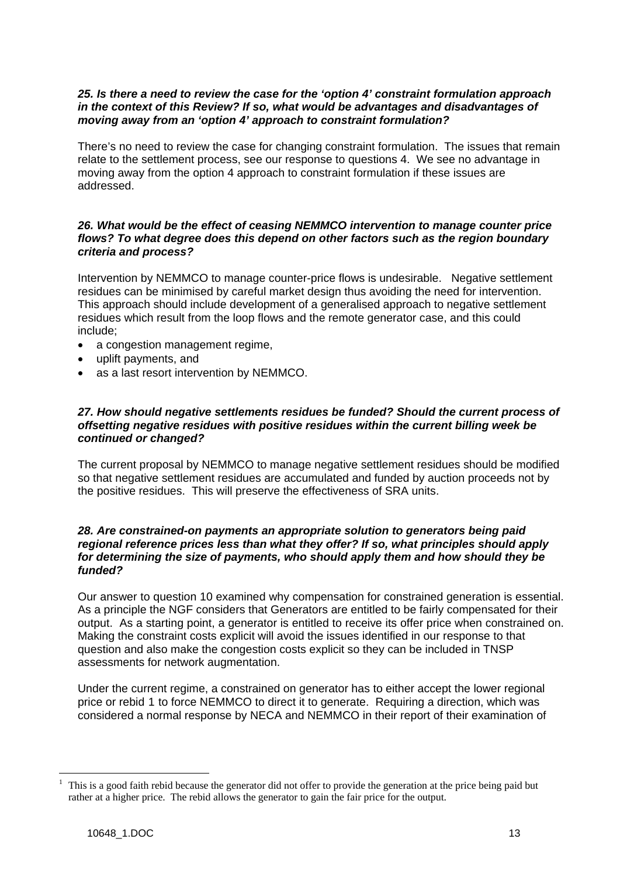# *25. Is there a need to review the case for the 'option 4' constraint formulation approach in the context of this Review? If so, what would be advantages and disadvantages of moving away from an 'option 4' approach to constraint formulation?*

There's no need to review the case for changing constraint formulation. The issues that remain relate to the settlement process, see our response to questions 4. We see no advantage in moving away from the option 4 approach to constraint formulation if these issues are addressed.

# *26. What would be the effect of ceasing NEMMCO intervention to manage counter price flows? To what degree does this depend on other factors such as the region boundary criteria and process?*

Intervention by NEMMCO to manage counter-price flows is undesirable. Negative settlement residues can be minimised by careful market design thus avoiding the need for intervention. This approach should include development of a generalised approach to negative settlement residues which result from the loop flows and the remote generator case, and this could include;

- a congestion management regime,
- uplift payments, and
- as a last resort intervention by NEMMCO.

# *27. How should negative settlements residues be funded? Should the current process of offsetting negative residues with positive residues within the current billing week be continued or changed?*

The current proposal by NEMMCO to manage negative settlement residues should be modified so that negative settlement residues are accumulated and funded by auction proceeds not by the positive residues. This will preserve the effectiveness of SRA units.

## *28. Are constrained-on payments an appropriate solution to generators being paid regional reference prices less than what they offer? If so, what principles should apply for determining the size of payments, who should apply them and how should they be funded?*

Our answer to question 10 examined why compensation for constrained generation is essential. As a principle the NGF considers that Generators are entitled to be fairly compensated for their output. As a starting point, a generator is entitled to receive its offer price when constrained on. Making the constraint costs explicit will avoid the issues identified in our response to that question and also make the congestion costs explicit so they can be included in TNSP assessments for network augmentation.

Under the current regime, a constrained on generator has to either accept the lower regional price or rebid [1](#page-12-0) to force NEMMCO to direct it to generate. Requiring a direction, which was considered a normal response by NECA and NEMMCO in their report of their examination of

 $\overline{a}$ 

<span id="page-12-0"></span><sup>1</sup> This is a good faith rebid because the generator did not offer to provide the generation at the price being paid but rather at a higher price. The rebid allows the generator to gain the fair price for the output.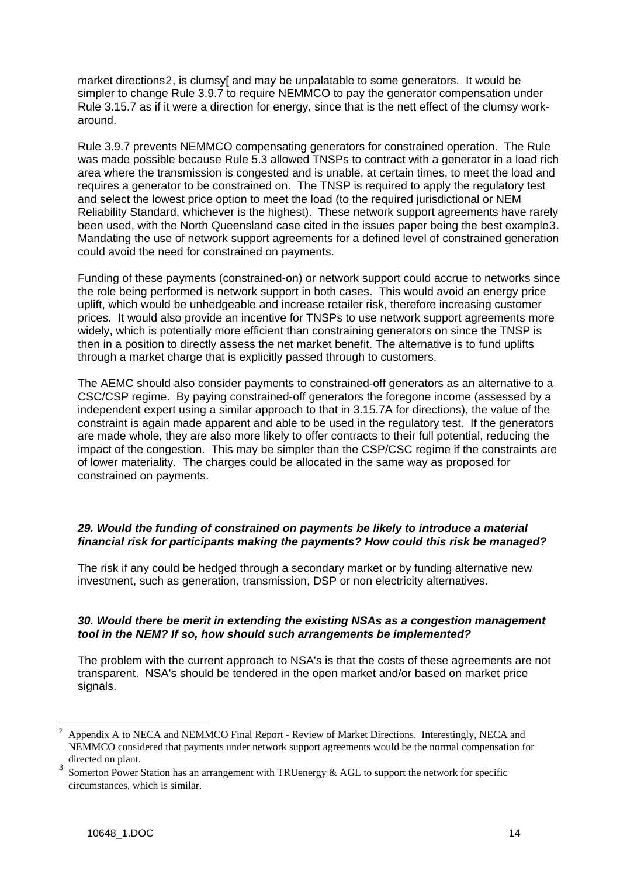market directions[2](#page-13-0), is clumsy[ and may be unpalatable to some generators. It would be simpler to change Rule 3.9.7 to require NEMMCO to pay the generator compensation under Rule 3.15.7 as if it were a direction for energy, since that is the nett effect of the clumsy workaround.

Rule 3.9.7 prevents NEMMCO compensating generators for constrained operation. The Rule was made possible because Rule 5.3 allowed TNSPs to contract with a generator in a load rich area where the transmission is congested and is unable, at certain times, to meet the load and requires a generator to be constrained on. The TNSP is required to apply the regulatory test and select the lowest price option to meet the load (to the required jurisdictional or NEM Reliability Standard, whichever is the highest). These network support agreements have rarely been used, with the North Queensland case cited in the issues paper being the best example[3](#page-13-1). Mandating the use of network support agreements for a defined level of constrained generation could avoid the need for constrained on payments.

Funding of these payments (constrained-on) or network support could accrue to networks since the role being performed is network support in both cases. This would avoid an energy price uplift, which would be unhedgeable and increase retailer risk, therefore increasing customer prices. It would also provide an incentive for TNSPs to use network support agreements more widely, which is potentially more efficient than constraining generators on since the TNSP is then in a position to directly assess the net market benefit. The alternative is to fund uplifts through a market charge that is explicitly passed through to customers.

The AEMC should also consider payments to constrained-off generators as an alternative to a CSC/CSP regime. By paying constrained-off generators the foregone income (assessed by a independent expert using a similar approach to that in 3.15.7A for directions), the value of the constraint is again made apparent and able to be used in the regulatory test. If the generators are made whole, they are also more likely to offer contracts to their full potential, reducing the impact of the congestion. This may be simpler than the CSP/CSC regime if the constraints are of lower materiality. The charges could be allocated in the same way as proposed for constrained on payments.

# 29. Would the funding of constrained on payments be likely to introduce a material *financial risk for participants making the payments? How could this risk be managed?*

The risk if any could be hedged through a secondary market or by funding alternative new investment, such as generation, transmission, DSP or non electricity alternatives.

# *30. Would there be merit in extending the existing NSAs as a congestion management tool in the NEM? If so, how should such arrangements be implemented?*

The problem with the current approach to NSA's is that the costs of these agreements are not transparent. NSA's should be tendered in the open market and/or based on market price signals.

 $\overline{a}$ 

<span id="page-13-0"></span><sup>2</sup> Appendix A to NECA and NEMMCO Final Report - Review of Market Directions. Interestingly, NECA and NEMMCO considered that payments under network support agreements would be the normal compensation for directed on plant.

<span id="page-13-1"></span><sup>3</sup> Somerton Power Station has an arrangement with TRUenergy & AGL to support the network for specific circumstances, which is similar.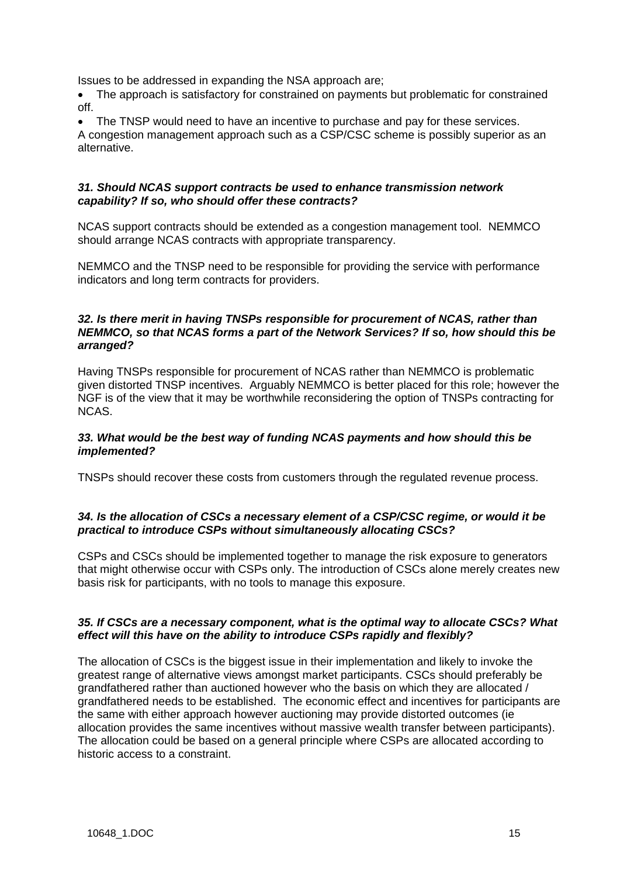Issues to be addressed in expanding the NSA approach are;

• The approach is satisfactory for constrained on payments but problematic for constrained off.

The TNSP would need to have an incentive to purchase and pay for these services.

A congestion management approach such as a CSP/CSC scheme is possibly superior as an alternative.

## *31. Should NCAS support contracts be used to enhance transmission network capability? If so, who should offer these contracts?*

NCAS support contracts should be extended as a congestion management tool. NEMMCO should arrange NCAS contracts with appropriate transparency.

NEMMCO and the TNSP need to be responsible for providing the service with performance indicators and long term contracts for providers.

# *32. Is there merit in having TNSPs responsible for procurement of NCAS, rather than NEMMCO, so that NCAS forms a part of the Network Services? If so, how should this be arranged?*

Having TNSPs responsible for procurement of NCAS rather than NEMMCO is problematic given distorted TNSP incentives. Arguably NEMMCO is better placed for this role; however the NGF is of the view that it may be worthwhile reconsidering the option of TNSPs contracting for NCAS.

## *33. What would be the best way of funding NCAS payments and how should this be implemented?*

TNSPs should recover these costs from customers through the regulated revenue process.

# *34. Is the allocation of CSCs a necessary element of a CSP/CSC regime, or would it be practical to introduce CSPs without simultaneously allocating CSCs?*

CSPs and CSCs should be implemented together to manage the risk exposure to generators that might otherwise occur with CSPs only. The introduction of CSCs alone merely creates new basis risk for participants, with no tools to manage this exposure.

## *35. If CSCs are a necessary component, what is the optimal way to allocate CSCs? What effect will this have on the ability to introduce CSPs rapidly and flexibly?*

The allocation of CSCs is the biggest issue in their implementation and likely to invoke the greatest range of alternative views amongst market participants. CSCs should preferably be grandfathered rather than auctioned however who the basis on which they are allocated / grandfathered needs to be established. The economic effect and incentives for participants are the same with either approach however auctioning may provide distorted outcomes (ie allocation provides the same incentives without massive wealth transfer between participants). The allocation could be based on a general principle where CSPs are allocated according to historic access to a constraint.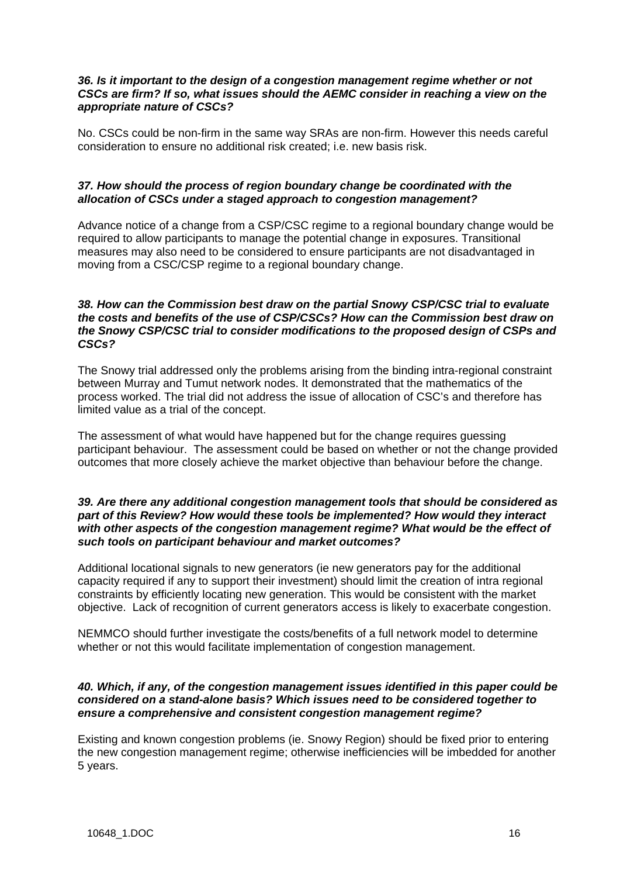## *36. Is it important to the design of a congestion management regime whether or not CSCs are firm? If so, what issues should the AEMC consider in reaching a view on the appropriate nature of CSCs?*

No. CSCs could be non-firm in the same way SRAs are non-firm. However this needs careful consideration to ensure no additional risk created; i.e. new basis risk.

# *37. How should the process of region boundary change be coordinated with the allocation of CSCs under a staged approach to congestion management?*

Advance notice of a change from a CSP/CSC regime to a regional boundary change would be required to allow participants to manage the potential change in exposures. Transitional measures may also need to be considered to ensure participants are not disadvantaged in moving from a CSC/CSP regime to a regional boundary change.

## *38. How can the Commission best draw on the partial Snowy CSP/CSC trial to evaluate the costs and benefits of the use of CSP/CSCs? How can the Commission best draw on the Snowy CSP/CSC trial to consider modifications to the proposed design of CSPs and CSCs?*

The Snowy trial addressed only the problems arising from the binding intra-regional constraint between Murray and Tumut network nodes. It demonstrated that the mathematics of the process worked. The trial did not address the issue of allocation of CSC's and therefore has limited value as a trial of the concept.

The assessment of what would have happened but for the change requires guessing participant behaviour. The assessment could be based on whether or not the change provided outcomes that more closely achieve the market objective than behaviour before the change.

## *39. Are there any additional congestion management tools that should be considered as part of this Review? How would these tools be implemented? How would they interact with other aspects of the congestion management regime? What would be the effect of such tools on participant behaviour and market outcomes?*

Additional locational signals to new generators (ie new generators pay for the additional capacity required if any to support their investment) should limit the creation of intra regional constraints by efficiently locating new generation. This would be consistent with the market objective. Lack of recognition of current generators access is likely to exacerbate congestion.

NEMMCO should further investigate the costs/benefits of a full network model to determine whether or not this would facilitate implementation of congestion management.

# *40. Which, if any, of the congestion management issues identified in this paper could be considered on a stand-alone basis? Which issues need to be considered together to ensure a comprehensive and consistent congestion management regime?*

Existing and known congestion problems (ie. Snowy Region) should be fixed prior to entering the new congestion management regime; otherwise inefficiencies will be imbedded for another 5 years.